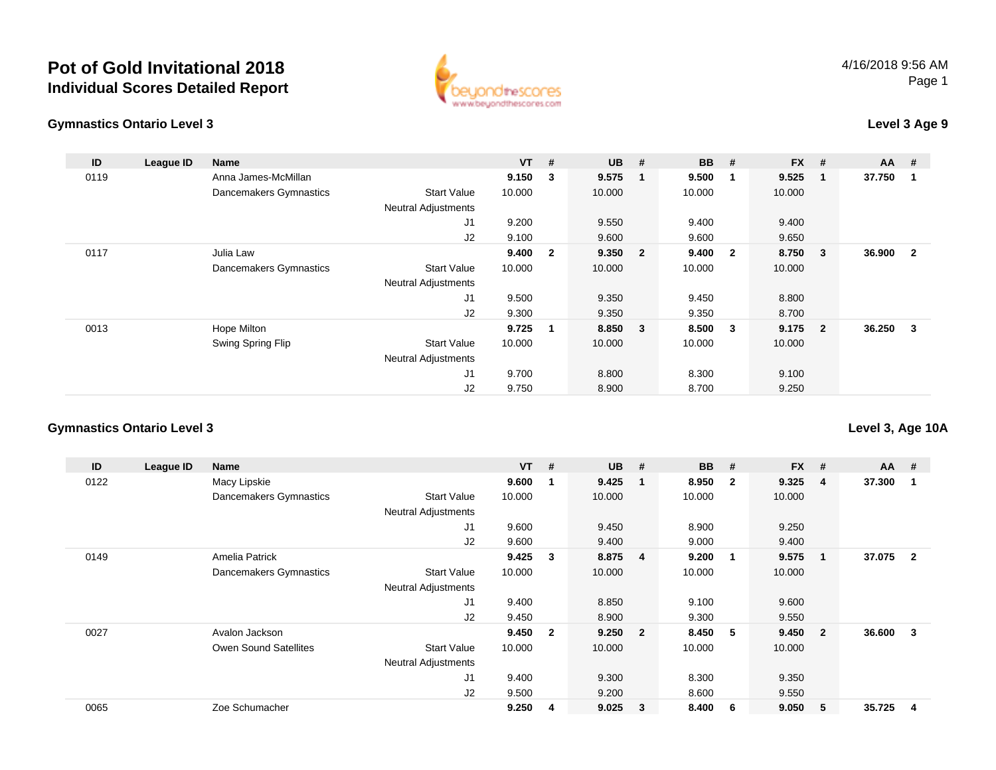

#### **Gymnastics Ontario Level 3**

### **Level 3 Age 9**

| ID   | League ID | Name                   |                            | $VT$ # |                | <b>UB</b> | #                       | <b>BB</b> | #                       | <b>FX</b> | #                       | AA     | #                       |
|------|-----------|------------------------|----------------------------|--------|----------------|-----------|-------------------------|-----------|-------------------------|-----------|-------------------------|--------|-------------------------|
| 0119 |           | Anna James-McMillan    |                            | 9.150  | 3              | 9.575     | 1                       | 9.500     | -1                      | 9.525     | $\overline{\mathbf{1}}$ | 37.750 | -1                      |
|      |           | Dancemakers Gymnastics | <b>Start Value</b>         | 10.000 |                | 10.000    |                         | 10.000    |                         | 10.000    |                         |        |                         |
|      |           |                        | <b>Neutral Adjustments</b> |        |                |           |                         |           |                         |           |                         |        |                         |
|      |           |                        | J1                         | 9.200  |                | 9.550     |                         | 9.400     |                         | 9.400     |                         |        |                         |
|      |           |                        | J2                         | 9.100  |                | 9.600     |                         | 9.600     |                         | 9.650     |                         |        |                         |
| 0117 |           | Julia Law              |                            | 9.400  | $\overline{2}$ | 9.350     | $\overline{\mathbf{2}}$ | 9.400     | $\overline{\mathbf{2}}$ | 8.750     | $\overline{\mathbf{3}}$ | 36.900 | $\overline{\mathbf{2}}$ |
|      |           | Dancemakers Gymnastics | <b>Start Value</b>         | 10.000 |                | 10.000    |                         | 10.000    |                         | 10.000    |                         |        |                         |
|      |           |                        | <b>Neutral Adjustments</b> |        |                |           |                         |           |                         |           |                         |        |                         |
|      |           |                        | J <sub>1</sub>             | 9.500  |                | 9.350     |                         | 9.450     |                         | 8.800     |                         |        |                         |
|      |           |                        | J2                         | 9.300  |                | 9.350     |                         | 9.350     |                         | 8.700     |                         |        |                         |
| 0013 |           | Hope Milton            |                            | 9.725  | 1              | 8.850     | 3                       | 8.500     | $\overline{\mathbf{3}}$ | $9.175$ 2 |                         | 36.250 | - 3                     |
|      |           | Swing Spring Flip      | <b>Start Value</b>         | 10.000 |                | 10.000    |                         | 10.000    |                         | 10.000    |                         |        |                         |
|      |           |                        | <b>Neutral Adjustments</b> |        |                |           |                         |           |                         |           |                         |        |                         |
|      |           |                        | J1                         | 9.700  |                | 8.800     |                         | 8.300     |                         | 9.100     |                         |        |                         |
|      |           |                        | J <sub>2</sub>             | 9.750  |                | 8.900     |                         | 8.700     |                         | 9.250     |                         |        |                         |

#### **Gymnastics Ontario Level 3**

**ID League ID Name VT # UB # BB # FX # AA #** 0122 Macy Lipskie **9.600 <sup>1</sup> 9.425 <sup>1</sup> 8.950 <sup>2</sup> 9.325 <sup>4</sup> 37.300 <sup>1</sup>** Dancemakers Gymnastics Start Valuee 10.000 10.000 10.000 10.000 Neutral Adjustments J1 9.600 9.450 8.900 9.250 J2 9.600 9.400 9.000 9.400 0149 Amelia Patrick **9.425 <sup>3</sup> 8.875 <sup>4</sup> 9.200 <sup>1</sup> 9.575 <sup>1</sup> 37.075 <sup>2</sup>** Dancemakers Gymnastics Start Valuee 10.000 10.000 10.000 10.000 Neutral Adjustments J1 9.400 8.850 9.100 9.600 J2 9.450 8.900 9.300 9.550 0027 Avalon Jackson **9.450 <sup>2</sup> 9.250 <sup>2</sup> 8.450 <sup>5</sup> 9.450 <sup>2</sup> 36.600 <sup>3</sup>** Owen Sound Satellites Start Valuee 10.000 10.000 10.000 10.000 Neutral Adjustments J1 9.400 9.300 8.300 9.350 J2 9.500 9.200 8.600 9.550 0065Zoe Schumacher **9.250 <sup>4</sup> 9.025 <sup>3</sup> 8.400 <sup>6</sup> 9.050 <sup>5</sup> 35.725 <sup>4</sup>**

### **Level 3, Age 10A**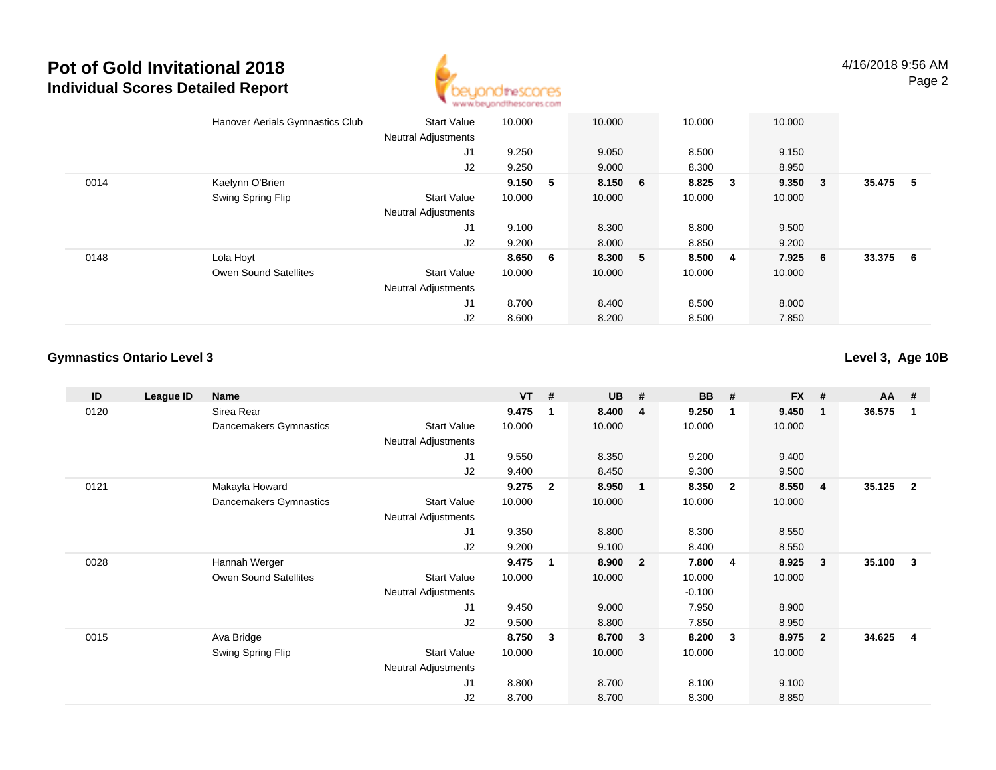

|      | Hanover Aerials Gymnastics Club | <b>Start Value</b>         | 10.000  |    | 10.000  | 10.000 |                         | 10.000 |        |        |     |
|------|---------------------------------|----------------------------|---------|----|---------|--------|-------------------------|--------|--------|--------|-----|
|      |                                 | <b>Neutral Adjustments</b> |         |    |         |        |                         |        |        |        |     |
|      |                                 | J1                         | 9.250   |    | 9.050   | 8.500  |                         | 9.150  |        |        |     |
|      |                                 | J2                         | 9.250   |    | 9.000   | 8.300  |                         | 8.950  |        |        |     |
| 0014 | Kaelynn O'Brien                 |                            | 9.150   | -5 | 8.150 6 | 8.825  | $\overline{\mathbf{3}}$ | 9.350  | $_{3}$ | 35.475 | -5  |
|      | Swing Spring Flip               | <b>Start Value</b>         | 10.000  |    | 10.000  | 10.000 |                         | 10.000 |        |        |     |
|      |                                 | <b>Neutral Adjustments</b> |         |    |         |        |                         |        |        |        |     |
|      |                                 | J1                         | 9.100   |    | 8.300   | 8.800  |                         | 9.500  |        |        |     |
|      |                                 | J2                         | 9.200   |    | 8.000   | 8.850  |                         | 9.200  |        |        |     |
| 0148 | Lola Hoyt                       |                            | 8.650 6 |    | 8.300 5 | 8.500  | $\overline{\mathbf{4}}$ | 7.925  | - 6    | 33.375 | - 6 |
|      | Owen Sound Satellites           | <b>Start Value</b>         | 10.000  |    | 10.000  | 10.000 |                         | 10.000 |        |        |     |
|      |                                 | <b>Neutral Adjustments</b> |         |    |         |        |                         |        |        |        |     |
|      |                                 | J1                         | 8.700   |    | 8.400   | 8.500  |                         | 8.000  |        |        |     |
|      |                                 | J2                         | 8.600   |    | 8.200   | 8.500  |                         | 7.850  |        |        |     |

### **Gymnastics Ontario Level 3**

**Level 3, Age 10B**

| ID   | League ID | Name                         |                            | $VT$ # |                | <b>UB</b> | #                       | <b>BB</b> | #              | <b>FX</b> | #              | <b>AA</b> | #              |
|------|-----------|------------------------------|----------------------------|--------|----------------|-----------|-------------------------|-----------|----------------|-----------|----------------|-----------|----------------|
| 0120 |           | Sirea Rear                   |                            | 9.475  | 1              | 8.400     | 4                       | 9.250     | -1             | 9.450     | -1             | 36.575    | 1              |
|      |           | Dancemakers Gymnastics       | <b>Start Value</b>         | 10.000 |                | 10.000    |                         | 10.000    |                | 10.000    |                |           |                |
|      |           |                              | <b>Neutral Adjustments</b> |        |                |           |                         |           |                |           |                |           |                |
|      |           |                              | J1                         | 9.550  |                | 8.350     |                         | 9.200     |                | 9.400     |                |           |                |
|      |           |                              | J2                         | 9.400  |                | 8.450     |                         | 9.300     |                | 9.500     |                |           |                |
| 0121 |           | Makayla Howard               |                            | 9.275  | $\overline{2}$ | 8.950     | $\overline{1}$          | 8.350     | $\overline{2}$ | 8.550     | -4             | 35.125    | $\overline{2}$ |
|      |           | Dancemakers Gymnastics       | <b>Start Value</b>         | 10.000 |                | 10.000    |                         | 10.000    |                | 10.000    |                |           |                |
|      |           |                              | Neutral Adjustments        |        |                |           |                         |           |                |           |                |           |                |
|      |           |                              | J1                         | 9.350  |                | 8.800     |                         | 8.300     |                | 8.550     |                |           |                |
|      |           |                              | J2                         | 9.200  |                | 9.100     |                         | 8.400     |                | 8.550     |                |           |                |
| 0028 |           | Hannah Werger                |                            | 9.475  | 1              | 8.900     | $\overline{2}$          | 7.800     | $\overline{4}$ | 8.925     | $\mathbf{3}$   | 35.100    | 3              |
|      |           | <b>Owen Sound Satellites</b> | <b>Start Value</b>         | 10.000 |                | 10.000    |                         | 10.000    |                | 10.000    |                |           |                |
|      |           |                              | <b>Neutral Adjustments</b> |        |                |           |                         | $-0.100$  |                |           |                |           |                |
|      |           |                              | J1                         | 9.450  |                | 9.000     |                         | 7.950     |                | 8.900     |                |           |                |
|      |           |                              | J2                         | 9.500  |                | 8.800     |                         | 7.850     |                | 8.950     |                |           |                |
| 0015 |           | Ava Bridge                   |                            | 8.750  | 3              | 8.700     | $\overline{\mathbf{3}}$ | 8.200     | $\mathbf{3}$   | 8.975     | $\overline{2}$ | 34.625    | 4              |
|      |           | Swing Spring Flip            | <b>Start Value</b>         | 10.000 |                | 10.000    |                         | 10.000    |                | 10.000    |                |           |                |
|      |           |                              | Neutral Adjustments        |        |                |           |                         |           |                |           |                |           |                |
|      |           |                              | J1                         | 8.800  |                | 8.700     |                         | 8.100     |                | 9.100     |                |           |                |
|      |           |                              | J2                         | 8.700  |                | 8.700     |                         | 8.300     |                | 8.850     |                |           |                |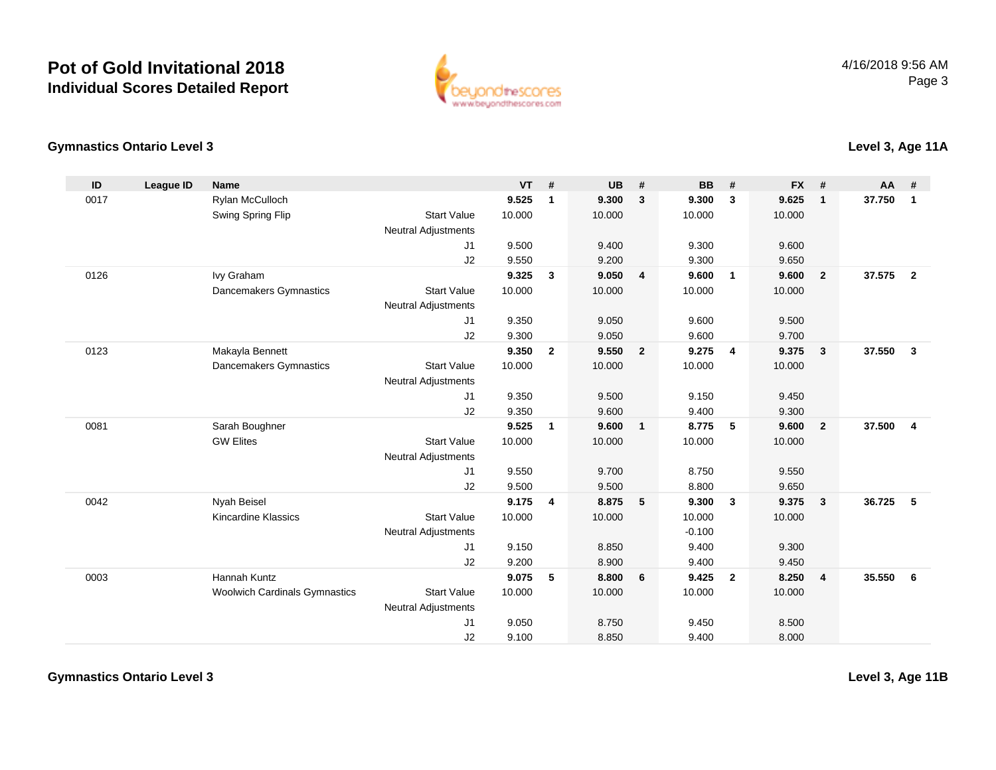

**Level 3, Age 11A**

### **Gymnastics Ontario Level 3**

| ID   | League ID | <b>Name</b>                          |                            | <b>VT</b> | #                       | <b>UB</b> | #                        | <b>BB</b> | #              | <b>FX</b> | #                       | <b>AA</b> | #                       |
|------|-----------|--------------------------------------|----------------------------|-----------|-------------------------|-----------|--------------------------|-----------|----------------|-----------|-------------------------|-----------|-------------------------|
| 0017 |           | Rylan McCulloch                      |                            | 9.525     | $\overline{\mathbf{1}}$ | 9.300     | $\overline{\mathbf{3}}$  | 9.300     | 3              | 9.625     | $\mathbf{1}$            | 37.750    | $\mathbf{1}$            |
|      |           | Swing Spring Flip                    | <b>Start Value</b>         | 10.000    |                         | 10.000    |                          | 10.000    |                | 10.000    |                         |           |                         |
|      |           |                                      | <b>Neutral Adjustments</b> |           |                         |           |                          |           |                |           |                         |           |                         |
|      |           |                                      | J <sub>1</sub>             | 9.500     |                         | 9.400     |                          | 9.300     |                | 9.600     |                         |           |                         |
|      |           |                                      | J2                         | 9.550     |                         | 9.200     |                          | 9.300     |                | 9.650     |                         |           |                         |
| 0126 |           | Ivy Graham                           |                            | 9.325     | $\mathbf{3}$            | 9.050     | $\overline{4}$           | 9.600     | $\overline{1}$ | 9.600     | $\mathbf{2}$            | 37.575    | $\overline{\mathbf{2}}$ |
|      |           | Dancemakers Gymnastics               | <b>Start Value</b>         | 10.000    |                         | 10.000    |                          | 10.000    |                | 10.000    |                         |           |                         |
|      |           |                                      | <b>Neutral Adjustments</b> |           |                         |           |                          |           |                |           |                         |           |                         |
|      |           |                                      | J1                         | 9.350     |                         | 9.050     |                          | 9.600     |                | 9.500     |                         |           |                         |
|      |           |                                      | J2                         | 9.300     |                         | 9.050     |                          | 9.600     |                | 9.700     |                         |           |                         |
| 0123 |           | Makayla Bennett                      |                            | 9.350     | $\overline{2}$          | 9.550     | $\overline{\mathbf{2}}$  | 9.275     | $\overline{4}$ | 9.375     | $\mathbf{3}$            | 37.550    | $\mathbf{3}$            |
|      |           | Dancemakers Gymnastics               | <b>Start Value</b>         | 10.000    |                         | 10.000    |                          | 10.000    |                | 10.000    |                         |           |                         |
|      |           |                                      | <b>Neutral Adjustments</b> |           |                         |           |                          |           |                |           |                         |           |                         |
|      |           |                                      | J <sub>1</sub>             | 9.350     |                         | 9.500     |                          | 9.150     |                | 9.450     |                         |           |                         |
|      |           |                                      | J2                         | 9.350     |                         | 9.600     |                          | 9.400     |                | 9.300     |                         |           |                         |
| 0081 |           | Sarah Boughner                       |                            | 9.525     | $\overline{\mathbf{1}}$ | 9.600     | $\overline{\phantom{0}}$ | 8.775     | 5              | 9.600     | $\overline{2}$          | 37.500    | $\overline{4}$          |
|      |           | <b>GW Elites</b>                     | <b>Start Value</b>         | 10.000    |                         | 10.000    |                          | 10.000    |                | 10.000    |                         |           |                         |
|      |           |                                      | Neutral Adjustments        |           |                         |           |                          |           |                |           |                         |           |                         |
|      |           |                                      | J <sub>1</sub>             | 9.550     |                         | 9.700     |                          | 8.750     |                | 9.550     |                         |           |                         |
|      |           |                                      | J2                         | 9.500     |                         | 9.500     |                          | 8.800     |                | 9.650     |                         |           |                         |
| 0042 |           | Nyah Beisel                          |                            | 9.175     | $\overline{4}$          | 8.875     | $-5$                     | 9.300     | $\mathbf{3}$   | 9.375     | $\mathbf{3}$            | 36.725    | 5                       |
|      |           | <b>Kincardine Klassics</b>           | <b>Start Value</b>         | 10.000    |                         | 10.000    |                          | 10.000    |                | 10.000    |                         |           |                         |
|      |           |                                      | <b>Neutral Adjustments</b> |           |                         |           |                          | $-0.100$  |                |           |                         |           |                         |
|      |           |                                      | J <sub>1</sub>             | 9.150     |                         | 8.850     |                          | 9.400     |                | 9.300     |                         |           |                         |
|      |           |                                      | J2                         | 9.200     |                         | 8.900     |                          | 9.400     |                | 9.450     |                         |           |                         |
| 0003 |           | Hannah Kuntz                         |                            | 9.075     | 5                       | 8.800     | 6                        | 9.425     | $\overline{2}$ | 8.250     | $\overline{\mathbf{4}}$ | 35.550    | 6                       |
|      |           | <b>Woolwich Cardinals Gymnastics</b> | <b>Start Value</b>         | 10.000    |                         | 10.000    |                          | 10.000    |                | 10.000    |                         |           |                         |
|      |           |                                      | <b>Neutral Adjustments</b> |           |                         |           |                          |           |                |           |                         |           |                         |
|      |           |                                      | J <sub>1</sub>             | 9.050     |                         | 8.750     |                          | 9.450     |                | 8.500     |                         |           |                         |
|      |           |                                      | J2                         | 9.100     |                         | 8.850     |                          | 9.400     |                | 8.000     |                         |           |                         |

**Gymnastics Ontario Level 3**

**Level 3, Age 11B**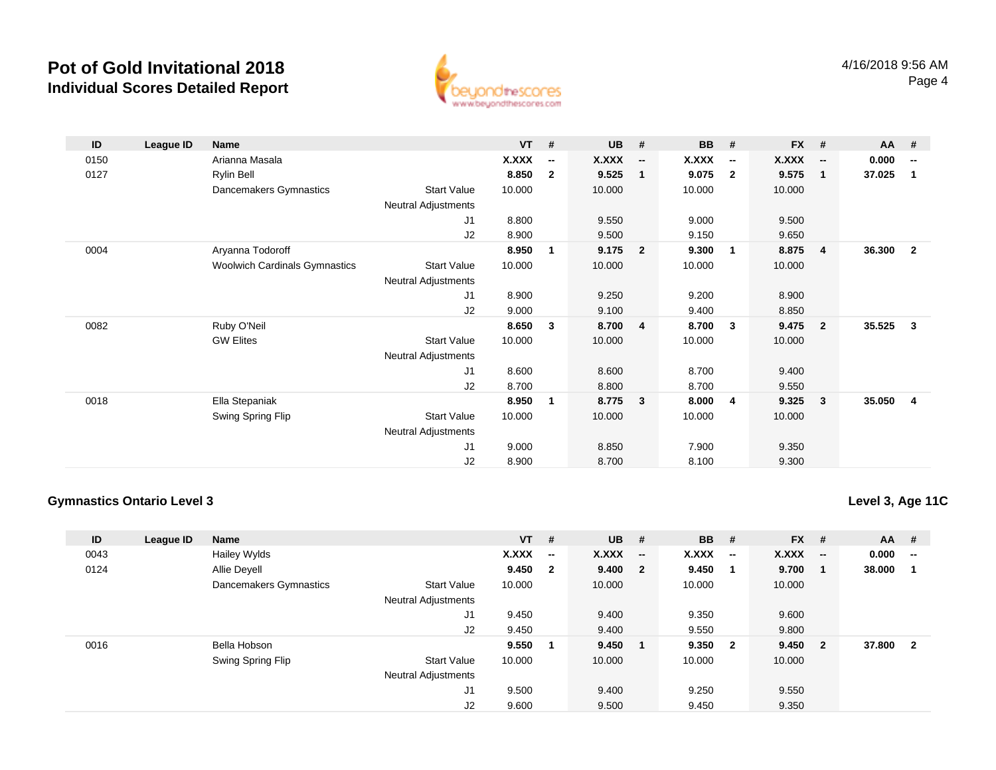

| ID   | League ID | <b>Name</b>                   |                            | $VT$ #       |                          | $UB$ # |                          | <b>BB</b>    | #                        | $FX$ #       |                          | AA #     |                         |
|------|-----------|-------------------------------|----------------------------|--------------|--------------------------|--------|--------------------------|--------------|--------------------------|--------------|--------------------------|----------|-------------------------|
| 0150 |           | Arianna Masala                |                            | <b>X.XXX</b> | $\overline{\phantom{a}}$ | X.XXX  | $\overline{\phantom{a}}$ | <b>X.XXX</b> | $\overline{\phantom{a}}$ | <b>X.XXX</b> | $\overline{\phantom{a}}$ | 0.000    | $-$                     |
| 0127 |           | Rylin Bell                    |                            | 8.850        | $\overline{2}$           | 9.525  | $\mathbf{1}$             | 9.075        | $\overline{2}$           | 9.575        | 1                        | 37.025   | $\blacksquare$          |
|      |           | Dancemakers Gymnastics        | <b>Start Value</b>         | 10.000       |                          | 10.000 |                          | 10.000       |                          | 10.000       |                          |          |                         |
|      |           |                               | Neutral Adjustments        |              |                          |        |                          |              |                          |              |                          |          |                         |
|      |           |                               | J1                         | 8.800        |                          | 9.550  |                          | 9.000        |                          | 9.500        |                          |          |                         |
|      |           |                               | J2                         | 8.900        |                          | 9.500  |                          | 9.150        |                          | 9.650        |                          |          |                         |
| 0004 |           | Aryanna Todoroff              |                            | 8.950        | 1                        | 9.175  | $\overline{2}$           | 9.300        | 1                        | 8.875        | 4                        | 36.300 2 |                         |
|      |           | Woolwich Cardinals Gymnastics | <b>Start Value</b>         | 10.000       |                          | 10.000 |                          | 10.000       |                          | 10.000       |                          |          |                         |
|      |           |                               | <b>Neutral Adjustments</b> |              |                          |        |                          |              |                          |              |                          |          |                         |
|      |           |                               | J1                         | 8.900        |                          | 9.250  |                          | 9.200        |                          | 8.900        |                          |          |                         |
|      |           |                               | J2                         | 9.000        |                          | 9.100  |                          | 9.400        |                          | 8.850        |                          |          |                         |
| 0082 |           | Ruby O'Neil                   |                            | 8.650        | 3                        | 8.700  | 4                        | 8.700        | 3                        | 9.475        | $\overline{2}$           | 35.525   | $\overline{\mathbf{3}}$ |
|      |           | <b>GW Elites</b>              | <b>Start Value</b>         | 10.000       |                          | 10.000 |                          | 10.000       |                          | 10.000       |                          |          |                         |
|      |           |                               | Neutral Adjustments        |              |                          |        |                          |              |                          |              |                          |          |                         |
|      |           |                               | J1                         | 8.600        |                          | 8.600  |                          | 8.700        |                          | 9.400        |                          |          |                         |
|      |           |                               | J2                         | 8.700        |                          | 8.800  |                          | 8.700        |                          | 9.550        |                          |          |                         |
| 0018 |           | Ella Stepaniak                |                            | 8.950        | 1                        | 8.775  | 3                        | 8.000        | 4                        | 9.325        | 3                        | 35.050 4 |                         |
|      |           | Swing Spring Flip             | <b>Start Value</b>         | 10.000       |                          | 10.000 |                          | 10.000       |                          | 10.000       |                          |          |                         |
|      |           |                               | <b>Neutral Adjustments</b> |              |                          |        |                          |              |                          |              |                          |          |                         |
|      |           |                               | J1                         | 9.000        |                          | 8.850  |                          | 7.900        |                          | 9.350        |                          |          |                         |
|      |           |                               | J2                         | 8.900        |                          | 8.700  |                          | 8.100        |                          | 9.300        |                          |          |                         |

### **Gymnastics Ontario Level 3**

**Level 3, Age 11C**

| ID   | League ID | <b>Name</b>            |                            | $VT$ # |                          | $UB$ #       |                          | <b>BB</b> | #                        | <b>FX</b> | - #                      | AA     | #                        |
|------|-----------|------------------------|----------------------------|--------|--------------------------|--------------|--------------------------|-----------|--------------------------|-----------|--------------------------|--------|--------------------------|
| 0043 |           | <b>Hailey Wylds</b>    |                            | X.XXX  | $\overline{\phantom{a}}$ | <b>X.XXX</b> | $\overline{\phantom{a}}$ | X.XXX     | $\overline{\phantom{a}}$ | X.XXX     | $\overline{\phantom{a}}$ | 0.000  | $\overline{\phantom{a}}$ |
| 0124 |           | Allie Devell           |                            | 9.450  | $\mathbf{2}$             | 9.400 2      |                          | 9.450     |                          | 9.700     |                          | 38.000 |                          |
|      |           | Dancemakers Gymnastics | <b>Start Value</b>         | 10.000 |                          | 10.000       |                          | 10.000    |                          | 10.000    |                          |        |                          |
|      |           |                        | <b>Neutral Adjustments</b> |        |                          |              |                          |           |                          |           |                          |        |                          |
|      |           |                        | J <sub>1</sub>             | 9.450  |                          | 9.400        |                          | 9.350     |                          | 9.600     |                          |        |                          |
|      |           |                        | J2                         | 9.450  |                          | 9.400        |                          | 9.550     |                          | 9.800     |                          |        |                          |
| 0016 |           | Bella Hobson           |                            | 9.550  |                          | 9.450        |                          | 9.350     | $\overline{\mathbf{2}}$  | 9.450     | $\overline{\mathbf{2}}$  | 37.800 | $\overline{2}$           |
|      |           | Swing Spring Flip      | <b>Start Value</b>         | 10.000 |                          | 10.000       |                          | 10.000    |                          | 10.000    |                          |        |                          |
|      |           |                        | <b>Neutral Adjustments</b> |        |                          |              |                          |           |                          |           |                          |        |                          |
|      |           |                        | J <sub>1</sub>             | 9.500  |                          | 9.400        |                          | 9.250     |                          | 9.550     |                          |        |                          |
|      |           |                        | J <sub>2</sub>             | 9.600  |                          | 9.500        |                          | 9.450     |                          | 9.350     |                          |        |                          |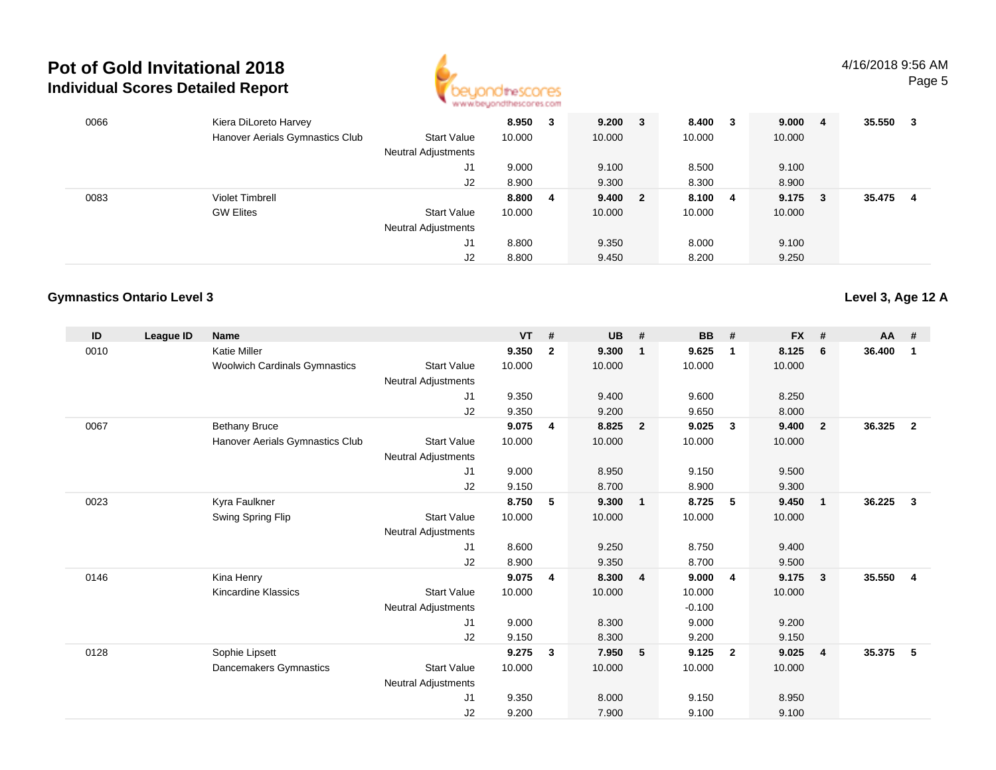

| 0066 | Kiera DiLoreto Harvey<br>Hanover Aerials Gymnastics Club | <b>Start Value</b><br>Neutral Adjustments | 8.950<br>10.000 | 3 | $9.200 \t 3$<br>10.000 | 8.400<br>10.000 | $_{3}$                  | 9.000<br>10.000 | -4  | 35.550 | -3 |
|------|----------------------------------------------------------|-------------------------------------------|-----------------|---|------------------------|-----------------|-------------------------|-----------------|-----|--------|----|
|      |                                                          | J1                                        | 9.000           |   | 9.100                  | 8.500           |                         | 9.100           |     |        |    |
|      |                                                          | J2                                        | 8.900           |   | 9.300                  | 8.300           |                         | 8.900           |     |        |    |
| 0083 | <b>Violet Timbrell</b>                                   |                                           | 8.800           | 4 | 9.400 2                | 8.100           | $\overline{\mathbf{4}}$ | 9.175           | - 3 | 35.475 | 4  |
|      | <b>GW Elites</b>                                         | <b>Start Value</b>                        | 10.000          |   | 10.000                 | 10.000          |                         | 10.000          |     |        |    |
|      |                                                          | <b>Neutral Adjustments</b>                |                 |   |                        |                 |                         |                 |     |        |    |
|      |                                                          | J1                                        | 8.800           |   | 9.350                  | 8.000           |                         | 9.100           |     |        |    |
|      |                                                          | J2                                        | 8.800           |   | 9.450                  | 8.200           |                         | 9.250           |     |        |    |

### **Gymnastics Ontario Level 3**

| ID   | League ID | <b>Name</b>                          |                            | <b>VT</b> | #              | <b>UB</b> | #                       | <b>BB</b> | #              | <b>FX</b> | #                       | <b>AA</b> | #              |
|------|-----------|--------------------------------------|----------------------------|-----------|----------------|-----------|-------------------------|-----------|----------------|-----------|-------------------------|-----------|----------------|
| 0010 |           | <b>Katie Miller</b>                  |                            | 9.350     | $\overline{2}$ | 9.300     | $\overline{1}$          | 9.625     | $\mathbf{1}$   | 8.125     | 6                       | 36.400    | 1              |
|      |           | <b>Woolwich Cardinals Gymnastics</b> | <b>Start Value</b>         | 10.000    |                | 10.000    |                         | 10.000    |                | 10.000    |                         |           |                |
|      |           |                                      | <b>Neutral Adjustments</b> |           |                |           |                         |           |                |           |                         |           |                |
|      |           |                                      | J1                         | 9.350     |                | 9.400     |                         | 9.600     |                | 8.250     |                         |           |                |
|      |           |                                      | J2                         | 9.350     |                | 9.200     |                         | 9.650     |                | 8.000     |                         |           |                |
| 0067 |           | <b>Bethany Bruce</b>                 |                            | 9.075     | 4              | 8.825     | $\overline{\mathbf{2}}$ | 9.025     | $\mathbf{3}$   | 9.400     | $\overline{2}$          | 36.325    | $\overline{2}$ |
|      |           | Hanover Aerials Gymnastics Club      | <b>Start Value</b>         | 10.000    |                | 10.000    |                         | 10.000    |                | 10.000    |                         |           |                |
|      |           |                                      | <b>Neutral Adjustments</b> |           |                |           |                         |           |                |           |                         |           |                |
|      |           |                                      | J1                         | 9.000     |                | 8.950     |                         | 9.150     |                | 9.500     |                         |           |                |
|      |           |                                      | J <sub>2</sub>             | 9.150     |                | 8.700     |                         | 8.900     |                | 9.300     |                         |           |                |
| 0023 |           | Kyra Faulkner                        |                            | 8.750     | 5              | 9.300     | $\blacksquare$          | 8.725     | 5              | 9.450     | $\mathbf{1}$            | 36.225    | $\mathbf{3}$   |
|      |           | Swing Spring Flip                    | <b>Start Value</b>         | 10.000    |                | 10.000    |                         | 10.000    |                | 10.000    |                         |           |                |
|      |           |                                      | <b>Neutral Adjustments</b> |           |                |           |                         |           |                |           |                         |           |                |
|      |           |                                      | J1                         | 8.600     |                | 9.250     |                         | 8.750     |                | 9.400     |                         |           |                |
|      |           |                                      | J2                         | 8.900     |                | 9.350     |                         | 8.700     |                | 9.500     |                         |           |                |
| 0146 |           | Kina Henry                           |                            | 9.075     | 4              | 8.300     | $\overline{4}$          | 9.000     | $\overline{4}$ | 9.175     | $\overline{\mathbf{3}}$ | 35.550    | $\overline{4}$ |
|      |           | <b>Kincardine Klassics</b>           | <b>Start Value</b>         | 10.000    |                | 10.000    |                         | 10.000    |                | 10.000    |                         |           |                |
|      |           |                                      | <b>Neutral Adjustments</b> |           |                |           |                         | $-0.100$  |                |           |                         |           |                |
|      |           |                                      | J1                         | 9.000     |                | 8.300     |                         | 9.000     |                | 9.200     |                         |           |                |
|      |           |                                      | J2                         | 9.150     |                | 8.300     |                         | 9.200     |                | 9.150     |                         |           |                |
| 0128 |           | Sophie Lipsett                       |                            | 9.275     | $\mathbf{3}$   | 7.950     | 5                       | 9.125     | $\overline{2}$ | 9.025     | $\overline{4}$          | 35.375    | -5             |
|      |           | Dancemakers Gymnastics               | <b>Start Value</b>         | 10.000    |                | 10.000    |                         | 10.000    |                | 10.000    |                         |           |                |
|      |           |                                      | <b>Neutral Adjustments</b> |           |                |           |                         |           |                |           |                         |           |                |
|      |           |                                      | J1                         | 9.350     |                | 8.000     |                         | 9.150     |                | 8.950     |                         |           |                |
|      |           |                                      | J <sub>2</sub>             | 9.200     |                | 7.900     |                         | 9.100     |                | 9.100     |                         |           |                |

**Level 3, Age 12 A**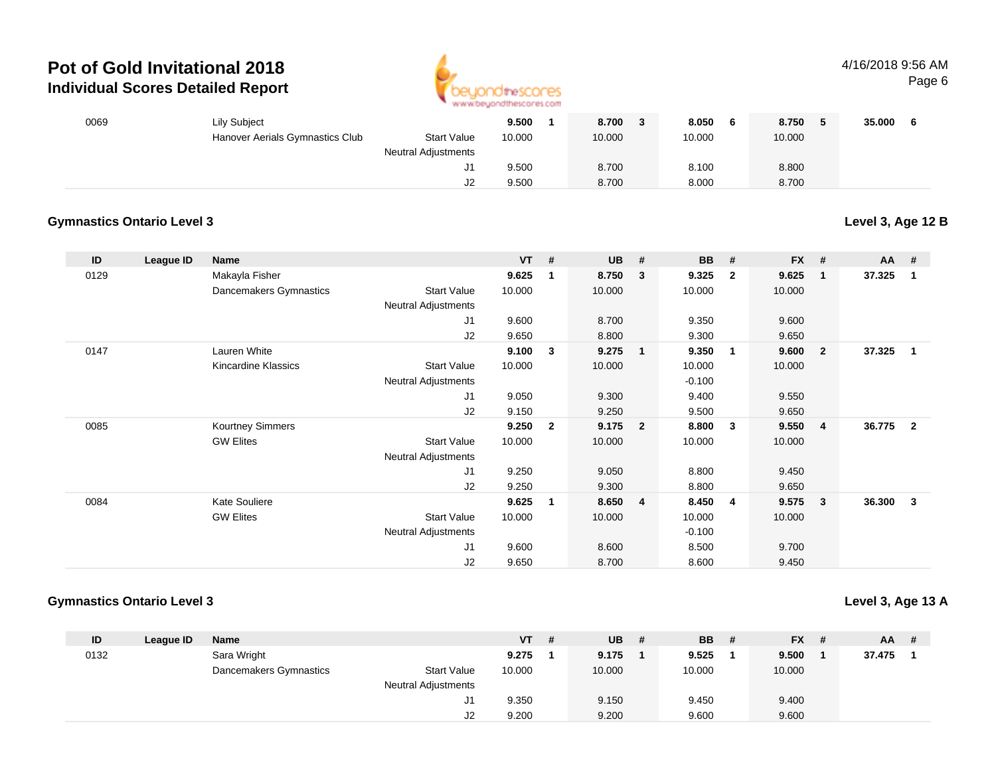

#### 4/16/2018 9:56 AMPage 6

| 0069 | <b>Lily Subject</b>             |                            | 9.500  | 8.700  | 8.050<br>- 6 | 8.750  | 35.000 |
|------|---------------------------------|----------------------------|--------|--------|--------------|--------|--------|
|      | Hanover Aerials Gymnastics Club | <b>Start Value</b>         | 10.000 | 10.000 | 10.000       | 10.000 |        |
|      |                                 | <b>Neutral Adjustments</b> |        |        |              |        |        |
|      |                                 |                            | 9.500  | 8.700  | 8.100        | 8.800  |        |
|      |                                 | J2                         | 9.500  | 8.700  | 8.000        | 8.700  |        |

#### **Gymnastics Ontario Level 3**

**Level 3, Age 12 B**

| ID   | League ID | <b>Name</b>            |                     | $VT$ # |                | <b>UB</b> | #                       | <b>BB</b> | #                       | <b>FX</b> | #              | $AA$ # |                |
|------|-----------|------------------------|---------------------|--------|----------------|-----------|-------------------------|-----------|-------------------------|-----------|----------------|--------|----------------|
| 0129 |           | Makayla Fisher         |                     | 9.625  | 1              | 8.750     | 3                       | 9.325     | $\overline{2}$          | 9.625     | -1             | 37.325 | 1              |
|      |           | Dancemakers Gymnastics | <b>Start Value</b>  | 10.000 |                | 10.000    |                         | 10.000    |                         | 10.000    |                |        |                |
|      |           |                        | Neutral Adjustments |        |                |           |                         |           |                         |           |                |        |                |
|      |           |                        | J1                  | 9.600  |                | 8.700     |                         | 9.350     |                         | 9.600     |                |        |                |
|      |           |                        | J2                  | 9.650  |                | 8.800     |                         | 9.300     |                         | 9.650     |                |        |                |
| 0147 |           | Lauren White           |                     | 9.100  | 3              | 9.275     | -1                      | 9.350     | $\overline{\mathbf{1}}$ | 9.600     | $\overline{2}$ | 37.325 | $\mathbf 1$    |
|      |           | Kincardine Klassics    | <b>Start Value</b>  | 10.000 |                | 10.000    |                         | 10.000    |                         | 10.000    |                |        |                |
|      |           |                        | Neutral Adjustments |        |                |           |                         | $-0.100$  |                         |           |                |        |                |
|      |           |                        | J1                  | 9.050  |                | 9.300     |                         | 9.400     |                         | 9.550     |                |        |                |
|      |           |                        | J <sub>2</sub>      | 9.150  |                | 9.250     |                         | 9.500     |                         | 9.650     |                |        |                |
| 0085 |           | Kourtney Simmers       |                     | 9.250  | $\overline{2}$ | 9.175     | $\overline{\mathbf{2}}$ | 8.800     | $\mathbf{3}$            | 9.550     | 4              | 36.775 | $\overline{2}$ |
|      |           | <b>GW Elites</b>       | <b>Start Value</b>  | 10.000 |                | 10.000    |                         | 10.000    |                         | 10.000    |                |        |                |
|      |           |                        | Neutral Adjustments |        |                |           |                         |           |                         |           |                |        |                |
|      |           |                        | J1                  | 9.250  |                | 9.050     |                         | 8.800     |                         | 9.450     |                |        |                |
|      |           |                        | J <sub>2</sub>      | 9.250  |                | 9.300     |                         | 8.800     |                         | 9.650     |                |        |                |
| 0084 |           | <b>Kate Souliere</b>   |                     | 9.625  | 1              | 8.650     | $\overline{4}$          | 8.450     | $\overline{4}$          | 9.575     | 3              | 36.300 | 3              |
|      |           | <b>GW Elites</b>       | <b>Start Value</b>  | 10.000 |                | 10.000    |                         | 10.000    |                         | 10.000    |                |        |                |
|      |           |                        | Neutral Adjustments |        |                |           |                         | $-0.100$  |                         |           |                |        |                |
|      |           |                        | J1                  | 9.600  |                | 8.600     |                         | 8.500     |                         | 9.700     |                |        |                |
|      |           |                        | J <sub>2</sub>      | 9.650  |                | 8.700     |                         | 8.600     |                         | 9.450     |                |        |                |

### **Gymnastics Ontario Level 3**

**Level 3, Age 13 A**

| ID   | League ID | <b>Name</b>            |                            | VT     | # | UB     | # | <b>BB</b> | $FX$ # | $AA$ # |  |
|------|-----------|------------------------|----------------------------|--------|---|--------|---|-----------|--------|--------|--|
| 0132 |           | Sara Wright            |                            | 9.275  |   | 9.175  |   | 9.525     | 9.500  | 37.475 |  |
|      |           | Dancemakers Gymnastics | <b>Start Value</b>         | 10.000 |   | 10.000 |   | 10.000    | 10.000 |        |  |
|      |           |                        | <b>Neutral Adjustments</b> |        |   |        |   |           |        |        |  |
|      |           |                        | ັ                          | 9.350  |   | 9.150  |   | 9.450     | 9.400  |        |  |
|      |           |                        | J2                         | 9.200  |   | 9.200  |   | 9.600     | 9.600  |        |  |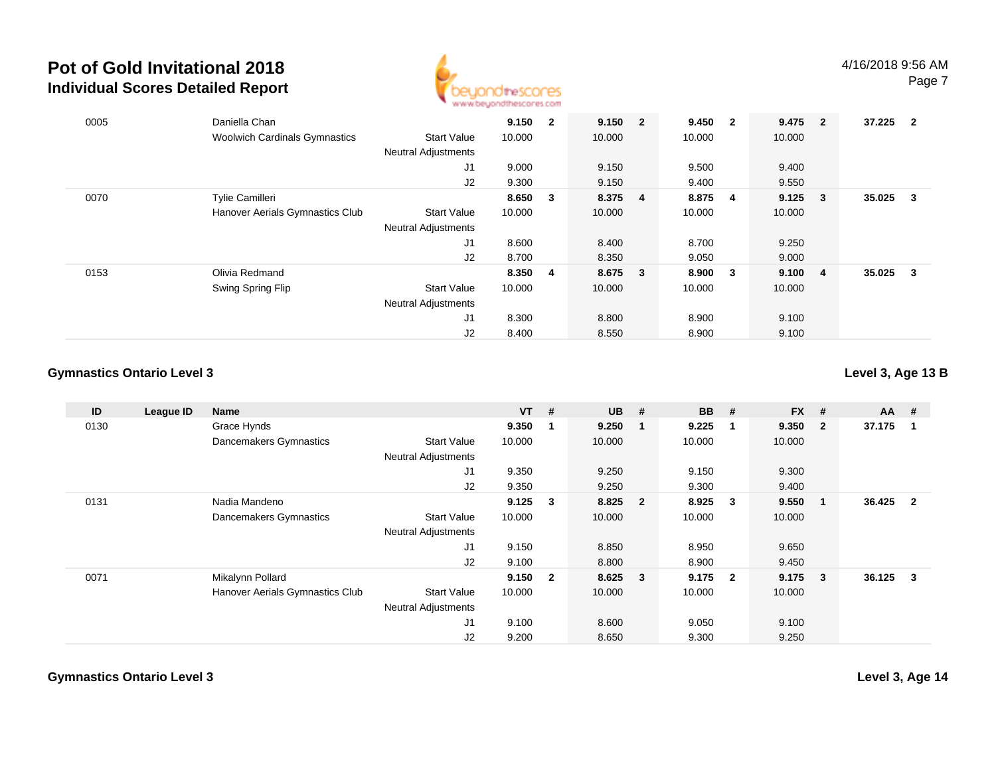

| 0005 | Daniella Chan<br><b>Woolwich Cardinals Gymnastics</b> | <b>Start Value</b>               | 9.150<br>10.000 | $\overline{2}$ | 9.150 2<br>10.000 | 9.450 2<br>10.000 |                         | 9.475<br>10.000 | $\overline{\mathbf{2}}$ | 37.225 | $\overline{2}$ |
|------|-------------------------------------------------------|----------------------------------|-----------------|----------------|-------------------|-------------------|-------------------------|-----------------|-------------------------|--------|----------------|
|      |                                                       | <b>Neutral Adjustments</b><br>J1 | 9.000           |                | 9.150             | 9.500             |                         | 9.400           |                         |        |                |
|      |                                                       | J2                               | 9.300           |                | 9.150             | 9.400             |                         | 9.550           |                         |        |                |
| 0070 | <b>Tylie Camilleri</b>                                |                                  | 8.650 3         |                | 8.375 4           | 8.875             | $\overline{\mathbf{4}}$ | 9.125           | $\overline{\mathbf{3}}$ | 35.025 | 3              |
|      | Hanover Aerials Gymnastics Club                       | <b>Start Value</b>               | 10.000          |                | 10.000            | 10.000            |                         | 10.000          |                         |        |                |
|      |                                                       | <b>Neutral Adjustments</b>       |                 |                |                   |                   |                         |                 |                         |        |                |
|      |                                                       | J1                               | 8.600           |                | 8.400             | 8.700             |                         | 9.250           |                         |        |                |
|      |                                                       | J2                               | 8.700           |                | 8.350             | 9.050             |                         | 9.000           |                         |        |                |
| 0153 | Olivia Redmand                                        |                                  | 8.350 4         |                | 8.675 3           | 8.900             | $\overline{\mathbf{3}}$ | 9.100           | - 4                     | 35.025 | 3              |
|      | Swing Spring Flip                                     | <b>Start Value</b>               | 10.000          |                | 10.000            | 10.000            |                         | 10.000          |                         |        |                |
|      |                                                       | <b>Neutral Adjustments</b>       |                 |                |                   |                   |                         |                 |                         |        |                |
|      |                                                       | J1                               | 8.300           |                | 8.800             | 8.900             |                         | 9.100           |                         |        |                |
|      |                                                       | J2                               | 8.400           |                | 8.550             | 8.900             |                         | 9.100           |                         |        |                |

### **Gymnastics Ontario Level 3**

**Level 3, Age 13 B**

| ID   | League ID | <b>Name</b>                     |                            | <b>VT</b> | #                       | $UB$ #  | <b>BB</b> | - #                     | <b>FX</b> | #                       | $AA$ # |                         |
|------|-----------|---------------------------------|----------------------------|-----------|-------------------------|---------|-----------|-------------------------|-----------|-------------------------|--------|-------------------------|
| 0130 |           | Grace Hynds                     |                            | 9.350     | 1                       | 9.250   | 9.225     |                         | 9.350     | $\overline{\mathbf{2}}$ | 37.175 | - 1                     |
|      |           | Dancemakers Gymnastics          | <b>Start Value</b>         | 10.000    |                         | 10.000  | 10.000    |                         | 10.000    |                         |        |                         |
|      |           |                                 | <b>Neutral Adjustments</b> |           |                         |         |           |                         |           |                         |        |                         |
|      |           |                                 | J1                         | 9.350     |                         | 9.250   | 9.150     |                         | 9.300     |                         |        |                         |
|      |           |                                 | J2                         | 9.350     |                         | 9.250   | 9.300     |                         | 9.400     |                         |        |                         |
| 0131 |           | Nadia Mandeno                   |                            | 9.125     | $\mathbf{3}$            | 8.825 2 | 8.925     | $\overline{\mathbf{3}}$ | 9.550     | $\blacksquare$          | 36.425 | $\overline{\mathbf{2}}$ |
|      |           | Dancemakers Gymnastics          | <b>Start Value</b>         | 10.000    |                         | 10.000  | 10.000    |                         | 10.000    |                         |        |                         |
|      |           |                                 | <b>Neutral Adjustments</b> |           |                         |         |           |                         |           |                         |        |                         |
|      |           |                                 | J1                         | 9.150     |                         | 8.850   | 8.950     |                         | 9.650     |                         |        |                         |
|      |           |                                 | J2                         | 9.100     |                         | 8.800   | 8.900     |                         | 9.450     |                         |        |                         |
| 0071 |           | Mikalynn Pollard                |                            | 9.150     | $\overline{\mathbf{2}}$ | 8.625 3 | 9.175 2   |                         | $9.175$ 3 |                         | 36.125 | $\overline{\mathbf{3}}$ |
|      |           | Hanover Aerials Gymnastics Club | <b>Start Value</b>         | 10.000    |                         | 10.000  | 10.000    |                         | 10.000    |                         |        |                         |
|      |           |                                 | <b>Neutral Adjustments</b> |           |                         |         |           |                         |           |                         |        |                         |
|      |           |                                 | J1                         | 9.100     |                         | 8.600   | 9.050     |                         | 9.100     |                         |        |                         |
|      |           |                                 | J2                         | 9.200     |                         | 8.650   | 9.300     |                         | 9.250     |                         |        |                         |